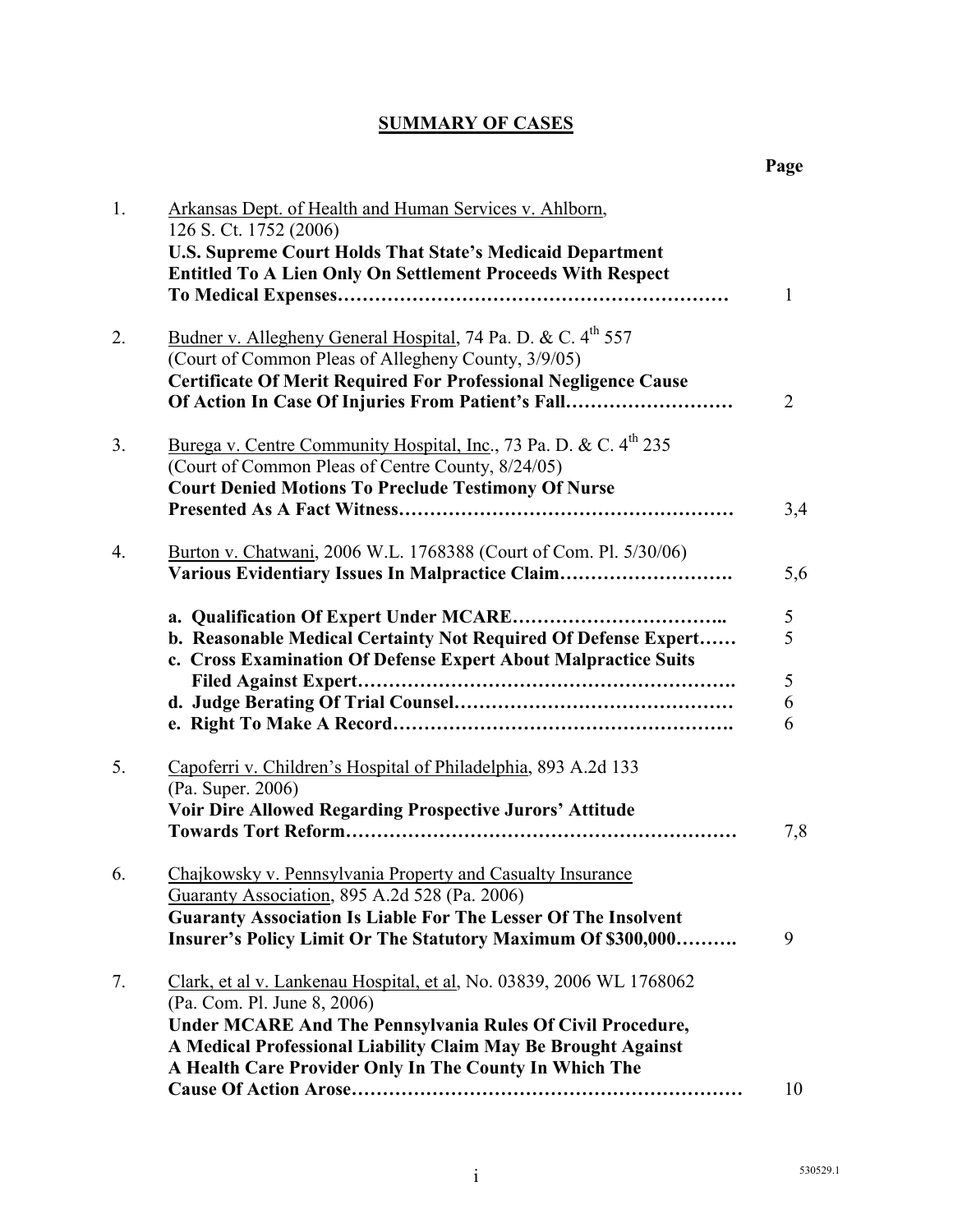## **SUMMARY OF CASES**

| 1. | Arkansas Dept. of Health and Human Services v. Ahlborn,<br>126 S. Ct. 1752 (2006)<br><b>U.S. Supreme Court Holds That State's Medicaid Department</b><br><b>Entitled To A Lien Only On Settlement Proceeds With Respect</b>                                                                         |                       |
|----|-----------------------------------------------------------------------------------------------------------------------------------------------------------------------------------------------------------------------------------------------------------------------------------------------------|-----------------------|
|    |                                                                                                                                                                                                                                                                                                     | $\mathbf{1}$          |
| 2. | Budner v. Allegheny General Hospital, 74 Pa. D. & C. 4 <sup>th</sup> 557<br>(Court of Common Pleas of Allegheny County, 3/9/05)<br><b>Certificate Of Merit Required For Professional Negligence Cause</b><br>Of Action In Case Of Injuries From Patient's Fall                                      | 2                     |
| 3. | Burega v. Centre Community Hospital, Inc., 73 Pa. D. & C. 4 <sup>th</sup> 235<br>(Court of Common Pleas of Centre County, 8/24/05)<br><b>Court Denied Motions To Preclude Testimony Of Nurse</b>                                                                                                    | 3,4                   |
| 4. | Burton v. Chatwani, 2006 W.L. 1768388 (Court of Com. Pl. 5/30/06)<br>Various Evidentiary Issues In Malpractice Claim                                                                                                                                                                                | 5,6                   |
|    | b. Reasonable Medical Certainty Not Required Of Defense Expert<br>c. Cross Examination Of Defense Expert About Malpractice Suits                                                                                                                                                                    | 5<br>5<br>5<br>6<br>6 |
| 5. | Capoferri v. Children's Hospital of Philadelphia, 893 A.2d 133<br>(Pa. Super. 2006)<br>Voir Dire Allowed Regarding Prospective Jurors' Attitude                                                                                                                                                     | 7,8                   |
| 6. | Chajkowsky v. Pennsylvania Property and Casualty Insurance<br>Guaranty Association, 895 A.2d 528 (Pa. 2006)<br><b>Guaranty Association Is Liable For The Lesser Of The Insolvent</b><br>Insurer's Policy Limit Or The Statutory Maximum Of \$300,000                                                | 9                     |
| 7. | Clark, et al v. Lankenau Hospital, et al, No. 03839, 2006 WL 1768062<br>(Pa. Com. Pl. June 8, 2006)<br><b>Under MCARE And The Pennsylvania Rules Of Civil Procedure,</b><br>A Medical Professional Liability Claim May Be Brought Against<br>A Health Care Provider Only In The County In Which The |                       |
|    |                                                                                                                                                                                                                                                                                                     | 10                    |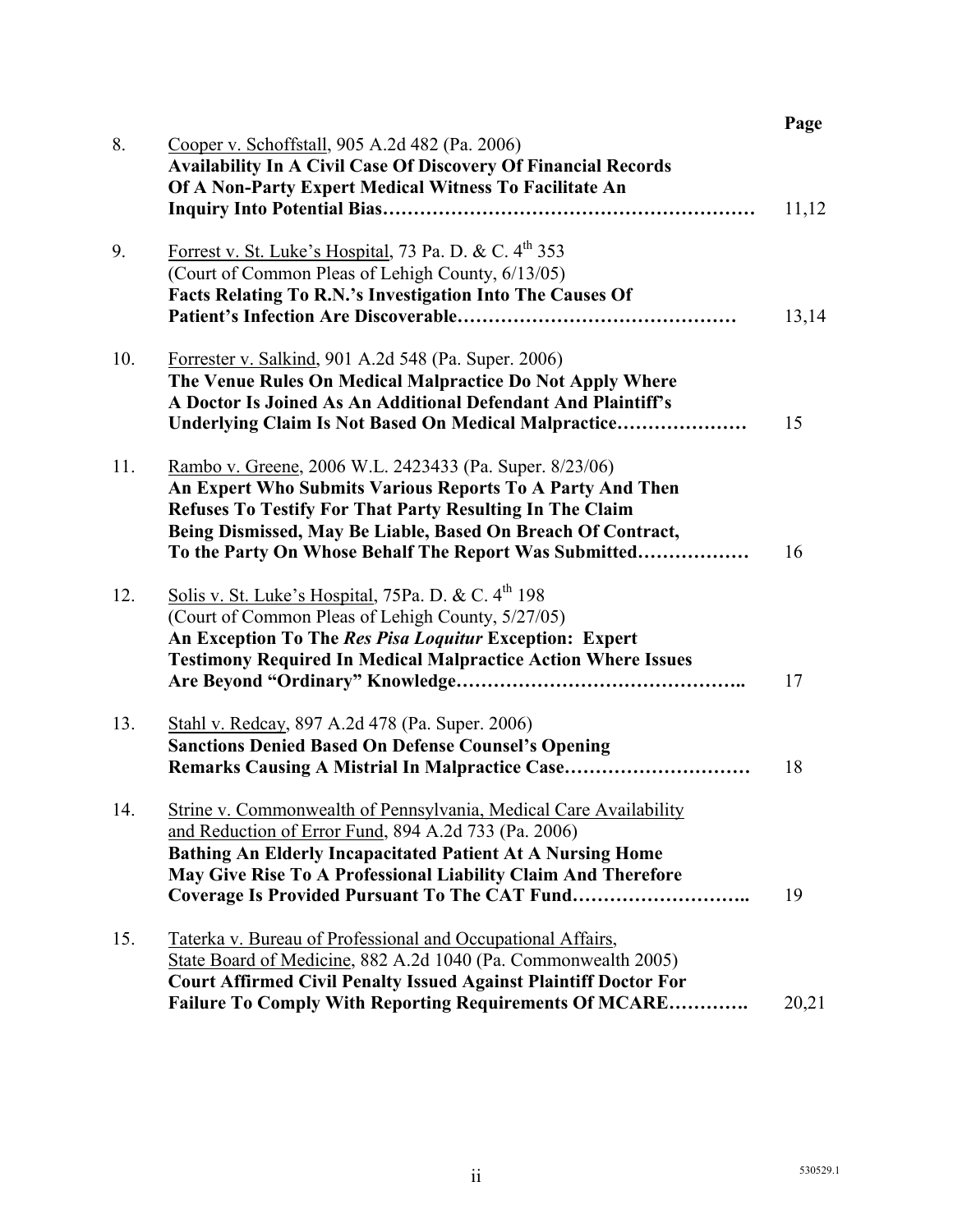| 8.  | Cooper v. Schoffstall, 905 A.2d 482 (Pa. 2006)                                                                            | Page  |
|-----|---------------------------------------------------------------------------------------------------------------------------|-------|
|     | <b>Availability In A Civil Case Of Discovery Of Financial Records</b>                                                     |       |
|     | Of A Non-Party Expert Medical Witness To Facilitate An                                                                    |       |
|     |                                                                                                                           | 11,12 |
|     |                                                                                                                           |       |
| 9.  | Forrest v. St. Luke's Hospital, 73 Pa. D. & C. 4 <sup>th</sup> 353                                                        |       |
|     | (Court of Common Pleas of Lehigh County, 6/13/05)                                                                         |       |
|     | Facts Relating To R.N.'s Investigation Into The Causes Of                                                                 |       |
|     |                                                                                                                           | 13,14 |
| 10. | Forrester v. Salkind, 901 A.2d 548 (Pa. Super. 2006)                                                                      |       |
|     | The Venue Rules On Medical Malpractice Do Not Apply Where                                                                 |       |
|     | A Doctor Is Joined As An Additional Defendant And Plaintiff's                                                             |       |
|     | Underlying Claim Is Not Based On Medical Malpractice                                                                      | 15    |
|     |                                                                                                                           |       |
| 11. | Rambo v. Greene, 2006 W.L. 2423433 (Pa. Super. 8/23/06)<br>An Expert Who Submits Various Reports To A Party And Then      |       |
|     | <b>Refuses To Testify For That Party Resulting In The Claim</b>                                                           |       |
|     | Being Dismissed, May Be Liable, Based On Breach Of Contract,                                                              |       |
|     | To the Party On Whose Behalf The Report Was Submitted                                                                     | 16    |
|     |                                                                                                                           |       |
| 12. | Solis v. St. Luke's Hospital, 75Pa. D. & C. 4 <sup>th</sup> 198                                                           |       |
|     | (Court of Common Pleas of Lehigh County, 5/27/05)                                                                         |       |
|     | An Exception To The Res Pisa Loquitur Exception: Expert                                                                   |       |
|     | <b>Testimony Required In Medical Malpractice Action Where Issues</b>                                                      |       |
|     |                                                                                                                           | 17    |
| 13. | Stahl v. Redcay, 897 A.2d 478 (Pa. Super. 2006)                                                                           |       |
|     | <b>Sanctions Denied Based On Defense Counsel's Opening</b>                                                                |       |
|     | Remarks Causing A Mistrial In Malpractice Case                                                                            | 18    |
|     |                                                                                                                           |       |
| 14. | Strine v. Commonwealth of Pennsylvania, Medical Care Availability                                                         |       |
|     | and Reduction of Error Fund, 894 A.2d 733 (Pa. 2006)<br><b>Bathing An Elderly Incapacitated Patient At A Nursing Home</b> |       |
|     | May Give Rise To A Professional Liability Claim And Therefore                                                             |       |
|     | Coverage Is Provided Pursuant To The CAT Fund                                                                             | 19    |
|     |                                                                                                                           |       |
| 15. | Taterka v. Bureau of Professional and Occupational Affairs,                                                               |       |
|     | State Board of Medicine, 882 A.2d 1040 (Pa. Commonwealth 2005)                                                            |       |
|     | <b>Court Affirmed Civil Penalty Issued Against Plaintiff Doctor For</b>                                                   |       |
|     | <b>Failure To Comply With Reporting Requirements Of MCARE</b>                                                             | 20,21 |